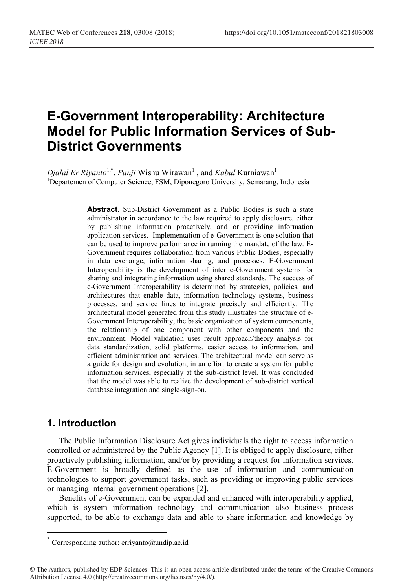# **E-Government Interoperability: Architecture Model for Public Information Services of Sub-District Governments**

*Djalal Er Riyanto<sup>1,\*</sup>, Panji* Wisnu Wirawan<sup>1</sup> , and *Kabul* Kurniawan<sup>1</sup> <sup>1</sup>Departemen of Computer Science, FSM, Diponegoro University, Semarang, Indonesia

> **Abstract.** Sub-District Government as a Public Bodies is such a state administrator in accordance to the law required to apply disclosure, either by publishing information proactively, and or providing information application services. Implementation of e-Government is one solution that can be used to improve performance in running the mandate of the law. E-Government requires collaboration from various Public Bodies, especially in data exchange, information sharing, and processes. E-Government Interoperability is the development of inter e-Government systems for sharing and integrating information using shared standards. The success of e-Government Interoperability is determined by strategies, policies, and architectures that enable data, information technology systems, business processes, and service lines to integrate precisely and efficiently. The architectural model generated from this study illustrates the structure of e-Government Interoperability, the basic organization of system components, the relationship of one component with other components and the environment. Model validation uses result approach/theory analysis for data standardization, solid platforms, easier access to information, and efficient administration and services. The architectural model can serve as a guide for design and evolution, in an effort to create a system for public information services, especially at the sub-district level. It was concluded that the model was able to realize the development of sub-district vertical database integration and single-sign-on.

## **1. Introduction**

The Public Information Disclosure Act gives individuals the right to access information controlled or administered by the Public Agency [1]. It is obliged to apply disclosure, either proactively publishing information, and/or by providing a request for information services. E-Government is broadly defined as the use of information and communication technologies to support government tasks, such as providing or improving public services or managing internal government operations [2].

Benefits of e-Government can be expanded and enhanced with interoperability applied, which is system information technology and communication also business process supported, to be able to exchange data and able to share information and knowledge by

<sup>\*</sup> Corresponding author:  $\frac{\text{error}(a)}{\text{error}(a)}$  and  $\frac{\text{error}(a)}{\text{error}(a)}$ 

<sup>©</sup> The Authors, published by EDP Sciences. This is an open access article distributed under the terms of the Creative Commons Attribution License 4.0 (http://creativecommons.org/licenses/by/4.0/).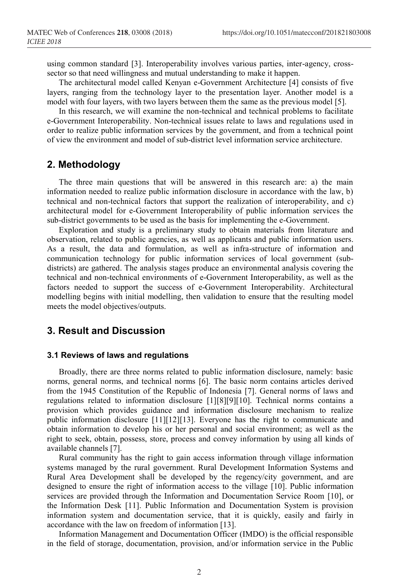using common standard [3]. Interoperability involves various parties, inter-agency, crosssector so that need willingness and mutual understanding to make it happen.

The architectural model called Kenyan e-Government Architecture [4] consists of five layers, ranging from the technology layer to the presentation layer. Another model is a model with four layers, with two layers between them the same as the previous model [5].

In this research, we will examine the non-technical and technical problems to facilitate e-Government Interoperability. Non-technical issues relate to laws and regulations used in order to realize public information services by the government, and from a technical point of view the environment and model of sub-district level information service architecture.

# **2. Methodology**

The three main questions that will be answered in this research are: a) the main information needed to realize public information disclosure in accordance with the law, b) technical and non-technical factors that support the realization of interoperability, and c) architectural model for e-Government Interoperability of public information services the sub-district governments to be used as the basis for implementing the e-Government.

Exploration and study is a preliminary study to obtain materials from literature and observation, related to public agencies, as well as applicants and public information users. As a result, the data and formulation, as well as infra-structure of information and communication technology for public information services of local government (subdistricts) are gathered. The analysis stages produce an environmental analysis covering the technical and non-technical environments of e-Government Interoperability, as well as the factors needed to support the success of e-Government Interoperability. Architectural modelling begins with initial modelling, then validation to ensure that the resulting model meets the model objectives/outputs.

### **3. Result and Discussion**

#### **3.1 Reviews of laws and regulations**

Broadly, there are three norms related to public information disclosure, namely: basic norms, general norms, and technical norms [6]. The basic norm contains articles derived from the 1945 Constitution of the Republic of Indonesia [7]. General norms of laws and regulations related to information disclosure [1][8][9][10]. Technical norms contains a provision which provides guidance and information disclosure mechanism to realize public information disclosure [11][12][13]. Everyone has the right to communicate and obtain information to develop his or her personal and social environment; as well as the right to seek, obtain, possess, store, process and convey information by using all kinds of available channels [7].

Rural community has the right to gain access information through village information systems managed by the rural government. Rural Development Information Systems and Rural Area Development shall be developed by the regency/city government, and are designed to ensure the right of information access to the village [10]. Public information services are provided through the Information and Documentation Service Room [10], or the Information Desk [11]. Public Information and Documentation System is provision information system and documentation service, that it is quickly, easily and fairly in accordance with the law on freedom of information [13].

Information Management and Documentation Officer (IMDO) is the official responsible in the field of storage, documentation, provision, and/or information service in the Public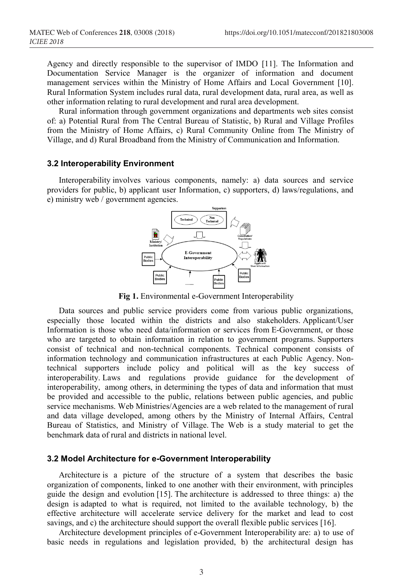Agency and directly responsible to the supervisor of IMDO [11]. The Information and Documentation Service Manager is the organizer of information and document management services within the Ministry of Home Affairs and Local Government [10]. Rural Information System includes rural data, rural development data, rural area, as well as other information relating to rural development and rural area development.

Rural information through government organizations and departments web sites consist of: a) Potential Rural from The Central Bureau of Statistic, b) Rural and Village Profiles from the Ministry of Home Affairs, c) Rural Community Online from The Ministry of Village, and d) Rural Broadband from the Ministry of Communication and Information.

### **3.2 Interoperability Environment**

Interoperability involves various components, namely: a) data sources and service providers for public, b) applicant user Information, c) supporters, d) laws/regulations, and e) ministry web / government agencies.



**Fig 1.** Environmental e-Government Interoperability

Data sources and public service providers come from various public organizations, especially those located within the districts and also stakeholders. Applicant/User Information is those who need data/information or services from E-Government, or those who are targeted to obtain information in relation to government programs. Supporters consist of technical and non-technical components. Technical component consists of information technology and communication infrastructures at each Public Agency. Nontechnical supporters include policy and political will as the key success of interoperability. Laws and regulations provide guidance for the development of interoperability, among others, in determining the types of data and information that must be provided and accessible to the public, relations between public agencies, and public service mechanisms. Web Ministries/Agencies are a web related to the management of rural and data village developed, among others by the Ministry of Internal Affairs, Central Bureau of Statistics, and Ministry of Village. The Web is a study material to get the benchmark data of rural and districts in national level.

#### **3.2 Model Architecture for e-Government Interoperability**

Architecture is a picture of the structure of a system that describes the basic organization of components, linked to one another with their environment, with principles guide the design and evolution [15]. The architecture is addressed to three things: a) the design is adapted to what is required, not limited to the available technology, b) the effective architecture will accelerate service delivery for the market and lead to cost savings, and c) the architecture should support the overall flexible public services [16].

Architecture development principles of e-Government Interoperability are: a) to use of basic needs in regulations and legislation provided, b) the architectural design has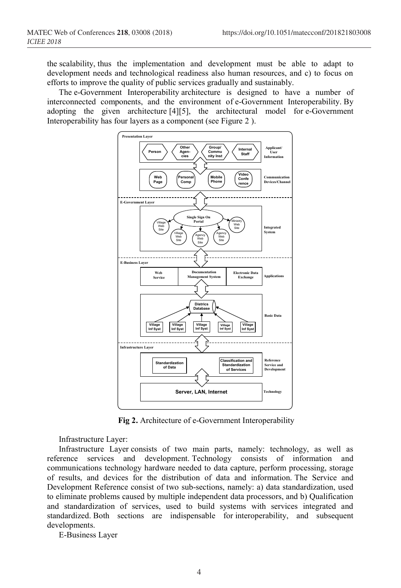the scalability, thus the implementation and development must be able to adapt to development needs and technological readiness also human resources, and c) to focus on efforts to improve the quality of public services gradually and sustainably.

The e-Government Interoperability architecture is designed to have a number of interconnected components, and the environment of e-Government Interoperability. By adopting the given architecture [4][5], the architectural model for e-Government Interoperability has four layers as a component (see Figure 2 ).



**Fig 2.** Architecture of e-Government Interoperability

Infrastructure Layer:

Infrastructure Layer consists of two main parts, namely: technology, as well as reference services and development. Technology consists of information and communications technology hardware needed to data capture, perform processing, storage of results, and devices for the distribution of data and information. The Service and Development Reference consist of two sub-sections, namely: a) data standardization, used to eliminate problems caused by multiple independent data processors, and b) Qualification and standardization of services, used to build systems with services integrated and standardized. Both sections are indispensable for interoperability, and subsequent developments.

E-Business Layer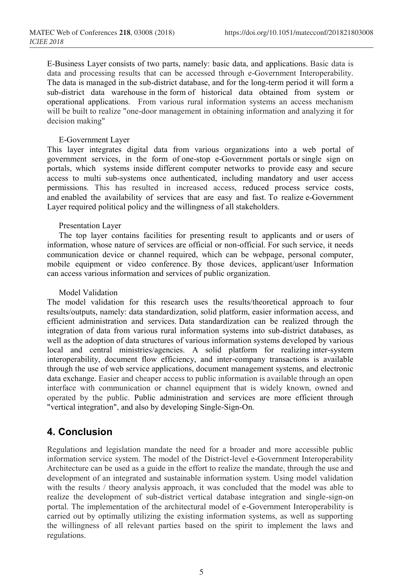E-Business Layer consists of two parts, namely: basic data, and applications. Basic data is data and processing results that can be accessed through e-Government Interoperability. The data is managed in the sub-district database, and for the long-term period it will form a sub-district data warehouse in the form of historical data obtained from system or operational applications. From various rural information systems an access mechanism will be built to realize "one-door management in obtaining information and analyzing it for decision making"

### E-Government Layer

This layer integrates digital data from various organizations into a web portal of government services, in the form of one-stop e-Government portals or single sign on portals, which systems inside different computer networks to provide easy and secure access to multi sub-systems once authenticated, including mandatory and user access permissions. This has resulted in increased access, reduced process service costs, and enabled the availability of services that are easy and fast. To realize e-Government Layer required political policy and the willingness of all stakeholders.

### Presentation Layer

The top layer contains facilities for presenting result to applicants and or users of information, whose nature of services are official or non-official. For such service, it needs communication device or channel required, which can be webpage, personal computer, mobile equipment or video conference. By those devices, applicant/user Information can access various information and services of public organization.

### Model Validation

The model validation for this research uses the results/theoretical approach to four results/outputs, namely: data standardization, solid platform, easier information access, and efficient administration and services. Data standardization can be realized through the integration of data from various rural information systems into sub-district databases, as well as the adoption of data structures of various information systems developed by various local and central ministries/agencies. A solid platform for realizing inter-system interoperability, document flow efficiency, and inter-company transactions is available through the use of web service applications, document management systems, and electronic data exchange. Easier and cheaper access to public information is available through an open interface with communication or channel equipment that is widely known, owned and operated by the public. Public administration and services are more efficient through "vertical integration", and also by developing Single-Sign-On.

# **4. Conclusion**

Regulations and legislation mandate the need for a broader and more accessible public information service system. The model of the District-level e-Government Interoperability Architecture can be used as a guide in the effort to realize the mandate, through the use and development of an integrated and sustainable information system. Using model validation with the results / theory analysis approach, it was concluded that the model was able to realize the development of sub-district vertical database integration and single-sign-on portal. The implementation of the architectural model of e-Government Interoperability is carried out by optimally utilizing the existing information systems, as well as supporting the willingness of all relevant parties based on the spirit to implement the laws and regulations.